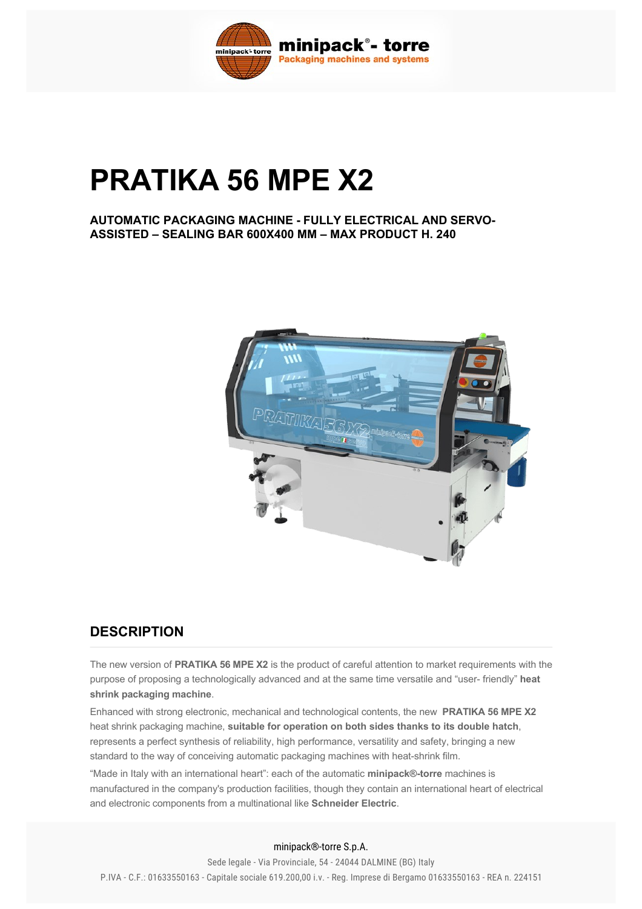

# **PRATIKA 56 MPE X2**

**AUTOMATIC PACKAGING MACHINE FULLY ELECTRICAL AND SERVO-ASSISTED – SEALING BAR 600X400 MM – MAX PRODUCT H. 240**



#### **DESCRIPTION**

The new version of **PRATIKA 56 MPE X2** is the product of careful attention to market requirements with the purpose of proposing a technologically advanced and at the same time versatile and "user- friendly" heat **shrink packaging machine**.

Enhanced with strong electronic, mechanical and technological contents, the new  **PRATIKA 56 MPE X2** heat shrink packaging machine, **suitable for operation on both sides thanks to its double hatch**, represents a perfect synthesis of reliability, high performance, versatility and safety, bringing a new standard to the way of conceiving automatic packaging machines with heat-shrink film.

"Made in Italy with an international heart": each of the automatic **minipack®torre** machines is manufactured in the company's production facilities, though they contain an international heart of electrical and electronic components from a multinational like **Schneider Electric**.

minipack®-torre S.p.A.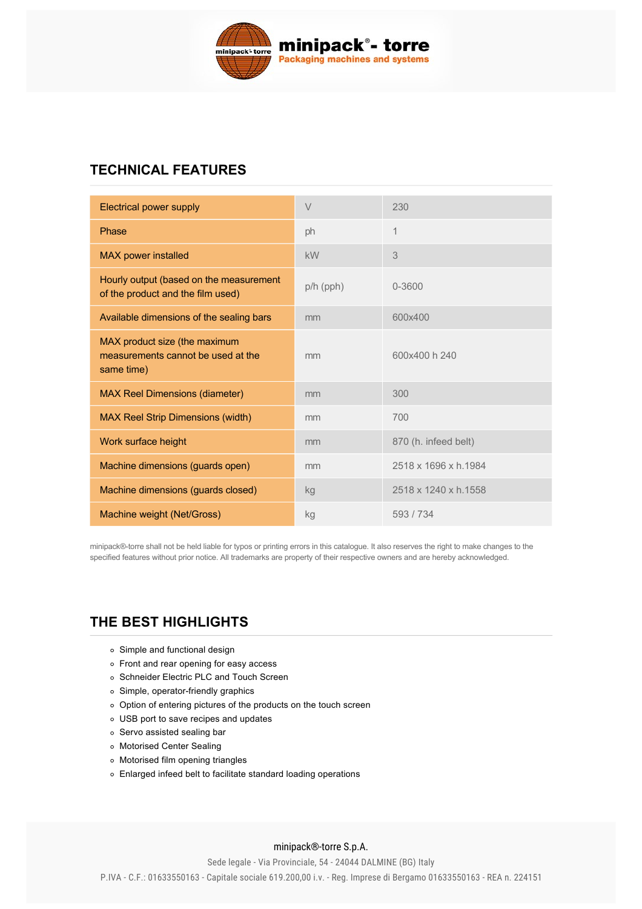

# **TECHNICAL FEATURES**

| Electrical power supply                                                           | V               | 230                  |
|-----------------------------------------------------------------------------------|-----------------|----------------------|
| Phase                                                                             | ph              | $\mathbf 1$          |
| <b>MAX power installed</b>                                                        | kW              | 3                    |
| Hourly output (based on the measurement<br>of the product and the film used)      | $p/h$ ( $pph$ ) | 0-3600               |
| Available dimensions of the sealing bars                                          | mm              | 600x400              |
| MAX product size (the maximum<br>measurements cannot be used at the<br>same time) | mm              | 600x400 h 240        |
| <b>MAX Reel Dimensions (diameter)</b>                                             | mm              | 300                  |
| <b>MAX Reel Strip Dimensions (width)</b>                                          | mm              | 700                  |
| Work surface height                                                               | mm              | 870 (h. infeed belt) |
| Machine dimensions (guards open)                                                  | mm              | 2518 x 1696 x h.1984 |
| Machine dimensions (guards closed)                                                | kg              | 2518 x 1240 x h.1558 |
| Machine weight (Net/Gross)                                                        | kg              | 593/734              |

minipack®torre shall not be held liable for typos or printing errors in this catalogue. It also reserves the right to make changes to the specified features without prior notice. All trademarks are property of their respective owners and are hereby acknowledged.

# **[THE BEST HIGHLIGHTS](#page-1-0)**

- <span id="page-1-0"></span>Simple and functional design
- Front and rear opening for easy access
- o Schneider Electric PLC and Touch Screen
- $\circ$  Simple, operator-friendly graphics
- Option of entering pictures of the products on the touch screen
- USB port to save recipes and updates
- o Servo assisted sealing bar
- Motorised Center Sealing
- Motorised film opening triangles
- Enlarged infeed belt to facilitate standard loading operations

#### minipack®-torre S.p.A.